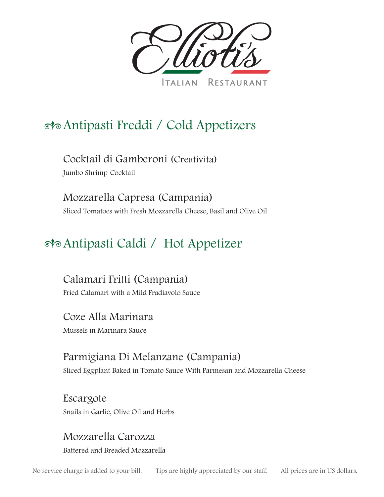

# Antipasti Freddi / Cold Appetizers

Cocktail di Gamberoni (Creativita) Jumbo Shrimp Cocktail

Mozzarella Capresa (Campania) Sliced Tomatoes with Fresh Mozzarella Cheese, Basil and Olive Oil

# Antipasti Caldi / Hot Appetizer

Calamari Fritti (Campania) Fried Calamari with a Mild Fradiavolo Sauce

Coze Alla Marinara Mussels in Marinara Sauce

Parmigiana Di Melanzane (Campania) Sliced Eggplant Baked in Tomato Sauce With Parmesan and Mozzarella Cheese

Escargote Snails in Garlic, Olive Oil and Herbs

Mozzarella Carozza Battered and Breaded Mozzarella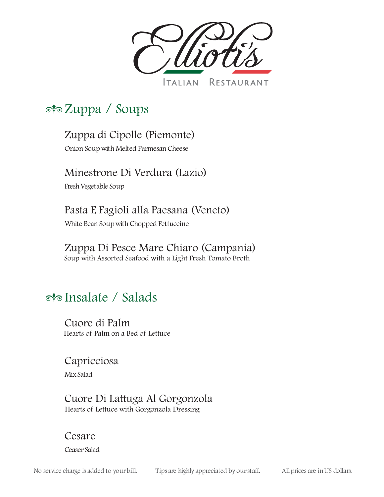

# Zuppa / Soups

## Zuppa di Cipolle (Piemonte)

Onion Soup with Melted Parmesan Cheese

#### Minestrone Di Verdura (Lazio)

Fresh Vegetable Soup

## Pasta E Fagioli alla Paesana (Veneto)

White Bean Soup with Chopped Fettuccine

#### Zuppa Di Pesce Mare Chiaro (Campania)

Soup with Assorted Seafood with a Light Fresh Tomato Broth

# Insalate / Salads

Cuore di Palm Hearts of Palm on a Bed of Lettuce

#### Capricciosa

MixSalad

#### Cuore Di Lattuga Al Gorgonzola Hearts of Lettuce with Gorgonzola Dressing

#### Cesare

Ceaser Salad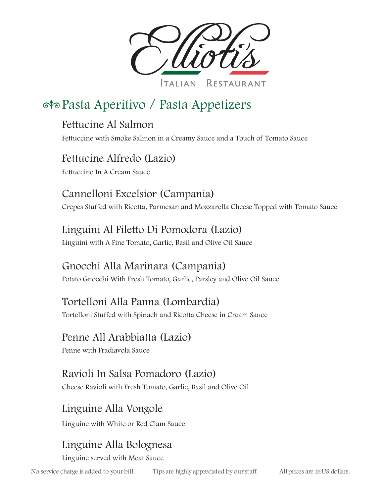

# Pasta Aperitivo / Pasta Appetizers

#### Fettucine Al Salmon

Fettuccine with Smoke Salmon in a Creamy Sauce and a Touch of Tomato Sauce

#### Fettucine Alfredo (Lazio)

Fettuccine In A Cream Sauce

#### Cannelloni Excelsior (Campania)

Crepes Stuffed with Ricotta, Parmesan and Mozzarella Cheese Topped with Tomato Sauce

#### Linguini Al Filetto Di Pomodora (Lazio)

Linguini with A Fine Tomato, Garlic, Basil and Olive Oil Sauce

## Gnocchi Alla Marinara (Campania)

Potato Gnocchi With Fresh Tomato, Garlic, Parsley and Olive Oil Sauce

#### Tortelloni Alla Panna (Lombardia)

Tortelloni Stuffed with Spinach and Ricotta Cheese in Cream Sauce

#### Penne All Arabbiatta (Lazio)

Penne with Fradiavola Sauce

# Ravioli In Salsa Pomadoro (Lazio)

Cheese Ravioli with Fresh Tomato, Garlic, Basil and Olive Oil

## Linguine Alla Vongole

Linguine with White or Red Clam Sauce

# Linguine Alla Bolognesa

Linguine served with Meat Sauce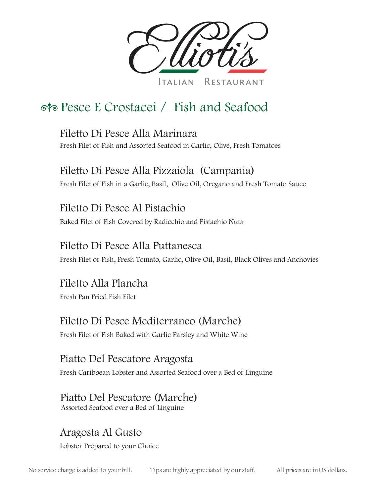

# Pesce E Crostacei / Fish and Seafood

Filetto Di Pesce Alla Marinara Fresh Filet of Fish and Assorted Seafood in Garlic, Olive, Fresh Tomatoes

Filetto Di Pesce Alla Pizzaiola (Campania) Fresh Filet of Fish in a Garlic, Basil, Olive Oil, Oregano and Fresh Tomato Sauce

Filetto Di Pesce Al Pistachio Baked Filet of Fish Covered by Radicchio and Pistachio Nuts

#### Filetto Di Pesce Alla Puttanesca

Fresh Filet of Fish, Fresh Tomato, Garlic, Olive Oil, Basil, Black Olives and Anchovies

Filetto Alla Plancha Fresh Pan Fried Fish Filet

## Filetto Di Pesce Mediterraneo (Marche)

Fresh Filet of Fish Baked with Garlic Parsley and White Wine

Piatto Del Pescatore Aragosta

Fresh Caribbean Lobster and Assorted Seafood over a Bed of Linguine

#### Piatto Del Pescatore (Marche) Assorted Seafood over a Bed of Linguine

Aragosta Al Gusto

Lobster Prepared to your Choice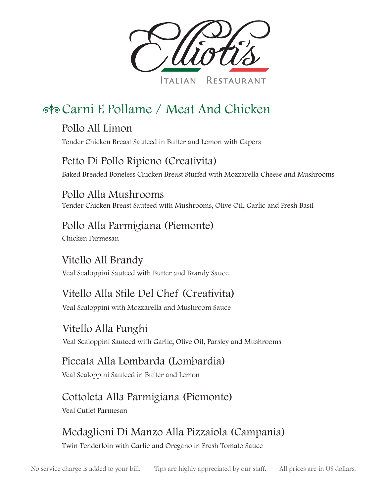

RESTAURANT **TALIAN** 

# Carni E Pollame / Meat And Chicken

Pollo All Limon Tender Chicken Breast Sauteed in Butter and Lemon with Capers

#### Petto Di Pollo Ripieno (Creativita)

Baked Breaded Boneless Chicken Breast Stuffed with Mozzarella Cheese and Mushrooms

Pollo Alla Mushrooms Tender Chicken Breast Sauteed with Mushrooms, Olive Oil, Garlic and Fresh Basil

## Pollo Alla Parmigiana (Piemonte)

Chicken Parmesan

Vitello All Brandy Veal Scaloppini Sauteed with Butter and Brandy Sauce

# Vitello Alla Stile Del Chef (Creativita)

Veal Scaloppini with Mozzarella and Mushroom Sauce

Vitello Alla Funghi Veal Scaloppini Sauteed with Garlic, Olive Oil, Parsley and Mushrooms

## Piccata Alla Lombarda (Lombardia)

Veal Scaloppini Sauteed in Butter and Lemon

# Cottoleta Alla Parmigiana (Piemonte)

Veal Cutlet Parmesan

# Medaglioni Di Manzo Alla Pizzaiola (Campania)

Twin Tenderloin with Garlic and Oregano in Fresh Tomato Sauce